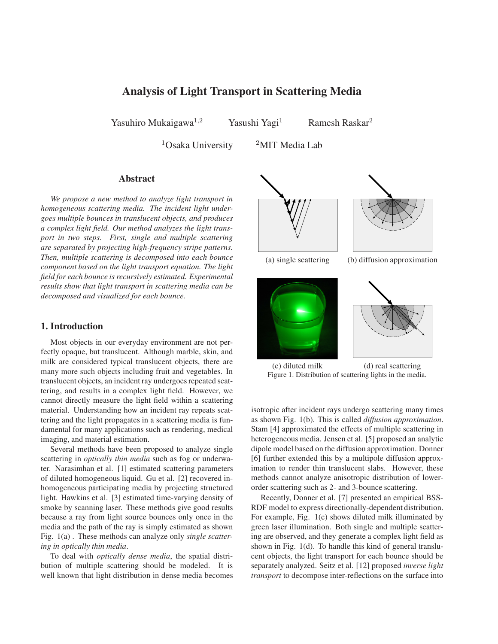# **Analysis of Light Transport in Scattering Media**

Yasuhiro Mukaigawa<sup>1,2</sup> Yasushi Yagi<sup>1</sup> Ramesh Raskar<sup>2</sup>

 $1$ Osaka University  $2$ MIT Media Lab

# **Abstract**

*We propose a new method to analyze light transport in homogeneous scattering media. The incident light undergoes multiple bounces in translucent objects, and produces a complex light field. Our method analyzes the light transport in two steps. First, single and multiple scattering are separated by projecting high-frequency stripe patterns. Then, multiple scattering is decomposed into each bounce component based on the light transport equation. The light field for each bounce is recursively estimated. Experimental results show that light transport in scattering media can be decomposed and visualized for each bounce.*

# **1. Introduction**

Most objects in our everyday environment are not perfectly opaque, but translucent. Although marble, skin, and milk are considered typical translucent objects, there are many more such objects including fruit and vegetables. In translucent objects, an incident ray undergoes repeated scattering, and results in a complex light field. However, we cannot directly measure the light field within a scattering material. Understanding how an incident ray repeats scattering and the light propagates in a scattering media is fundamental for many applications such as rendering, medical imaging, and material estimation.

Several methods have been proposed to analyze single scattering in *optically thin media* such as fog or underwater. Narasimhan et al. [1] estimated scattering parameters of diluted homogeneous liquid. Gu et al. [2] recovered inhomogeneous participating media by projecting structured light. Hawkins et al. [3] estimated time-varying density of smoke by scanning laser. These methods give good results because a ray from light source bounces only once in the media and the path of the ray is simply estimated as shown Fig. 1(a) . These methods can analyze only *single scattering in optically thin media*.

To deal with *optically dense media*, the spatial distribution of multiple scattering should be modeled. It is well known that light distribution in dense media becomes





(a) single scattering (b) diffusion approximation





(c) diluted milk (d) real scattering Figure 1. Distribution of scattering lights in the media.

isotropic after incident rays undergo scattering many times as shown Fig. 1(b). This is called *diffusion approximation*. Stam [4] approximated the effects of multiple scattering in heterogeneous media. Jensen et al. [5] proposed an analytic dipole model based on the diffusion approximation. Donner [6] further extended this by a multipole diffusion approximation to render thin translucent slabs. However, these methods cannot analyze anisotropic distribution of lowerorder scattering such as 2- and 3-bounce scattering.

Recently, Donner et al. [7] presented an empirical BSS-RDF model to express directionally-dependent distribution. For example, Fig. 1(c) shows diluted milk illuminated by green laser illumination. Both single and multiple scattering are observed, and they generate a complex light field as shown in Fig. 1(d). To handle this kind of general translucent objects, the light transport for each bounce should be separately analyzed. Seitz et al. [12] proposed *inverse light transport* to decompose inter-reflections on the surface into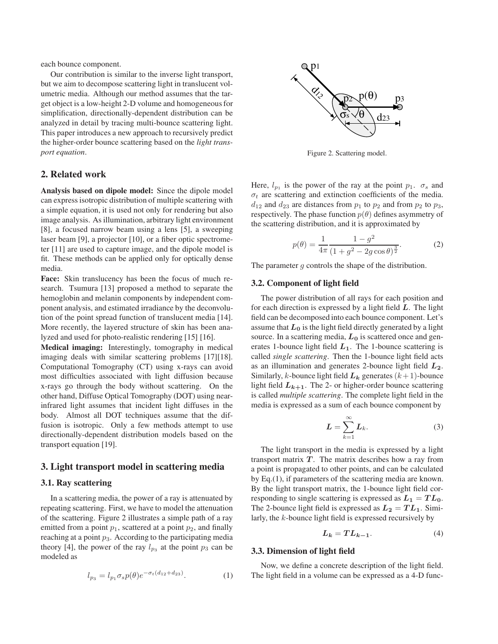each bounce component.

Our contribution is similar to the inverse light transport, but we aim to decompose scattering light in translucent volumetric media. Although our method assumes that the target object is a low-height 2-D volume and homogeneous for simplification, directionally-dependent distribution can be analyzed in detail by tracing multi-bounce scattering light. This paper introduces a new approach to recursively predict the higher-order bounce scattering based on the *light transport equation*.

## **2. Related work**

**Analysis based on dipole model:** Since the dipole model can express isotropic distribution of multiple scattering with a simple equation, it is used not only for rendering but also image analysis. As illumination, arbitrary light environment [8], a focused narrow beam using a lens [5], a sweeping laser beam [9], a projector [10], or a fiber optic spectrometer [11] are used to capture image, and the dipole model is fit. These methods can be applied only for optically dense media.

**Face:** Skin translucency has been the focus of much research. Tsumura [13] proposed a method to separate the hemoglobin and melanin components by independent component analysis, and estimated irradiance by the deconvolution of the point spread function of translucent media [14]. More recently, the layered structure of skin has been analyzed and used for photo-realistic rendering [15] [16].

**Medical imaging:** Interestingly, tomography in medical imaging deals with similar scattering problems [17][18]. Computational Tomography (CT) using x-rays can avoid most difficulties associated with light diffusion because x-rays go through the body without scattering. On the other hand, Diffuse Optical Tomography (DOT) using nearinfrared light assumes that incident light diffuses in the body. Almost all DOT techniques assume that the diffusion is isotropic. Only a few methods attempt to use directionally-dependent distribution models based on the transport equation [19].

## **3. Light transport model in scattering media**

# **3.1. Ray scattering**

In a scattering media, the power of a ray is attenuated by repeating scattering. First, we have to model the attenuation of the scattering. Figure 2 illustrates a simple path of a ray emitted from a point  $p_1$ , scattered at a point  $p_2$ , and finally reaching at a point  $p_3$ . According to the participating media theory [4], the power of the ray  $l_{p_3}$  at the point  $p_3$  can be modeled as

$$
l_{p_3} = l_{p_1} \sigma_s p(\theta) e^{-\sigma_t (d_{12} + d_{23})}.
$$
 (1)



Figure 2. Scattering model.

Here,  $l_{p_1}$  is the power of the ray at the point  $p_1$ .  $\sigma_s$  and  $\sigma_t$  are scattering and extinction coefficients of the media.  $d_{12}$  and  $d_{23}$  are distances from  $p_1$  to  $p_2$  and from  $p_2$  to  $p_3$ , respectively. The phase function  $p(\theta)$  defines asymmetry of the scattering distribution, and it is approximated by

$$
p(\theta) = \frac{1}{4\pi} \frac{1 - g^2}{\left(1 + g^2 - 2g\cos\theta\right)^{\frac{3}{2}}}.
$$
 (2)

The parameter q controls the shape of the distribution.

#### **3.2. Component of light field**

The power distribution of all rays for each position and for each direction is expressed by a light field *L*. The light field can be decomposed into each bounce component. Let's assume that  $L_0$  is the light field directly generated by a light source. In a scattering media,  $L_0$  is scattered once and generates 1-bounce light field  $L_1$ . The 1-bounce scattering is called *single scattering*. Then the 1-bounce light field acts as an illumination and generates 2-bounce light field *L***2**. Similarly, k-bounce light field  $L_k$  generates  $(k+1)$ -bounce light field  $L_{k+1}$ . The 2- or higher-order bounce scattering is called *multiple scattering*. The complete light field in the media is expressed as a sum of each bounce component by

$$
L = \sum_{k=1}^{\infty} L_k.
$$
 (3)

The light transport in the media is expressed by a light transport matrix  $T$ . The matrix describes how a ray from a point is propagated to other points, and can be calculated by Eq.(1), if parameters of the scattering media are known. By the light transport matrix, the 1-bounce light field corresponding to single scattering is expressed as  $L_1 = TL_0$ . The 2-bounce light field is expressed as  $L_2 = TL_1$ . Similarly, the k-bounce light field is expressed recursively by

$$
L_k = T L_{k-1}.\tag{4}
$$

## **3.3. Dimension of light field**

Now, we define a concrete description of the light field. The light field in a volume can be expressed as a 4-D func-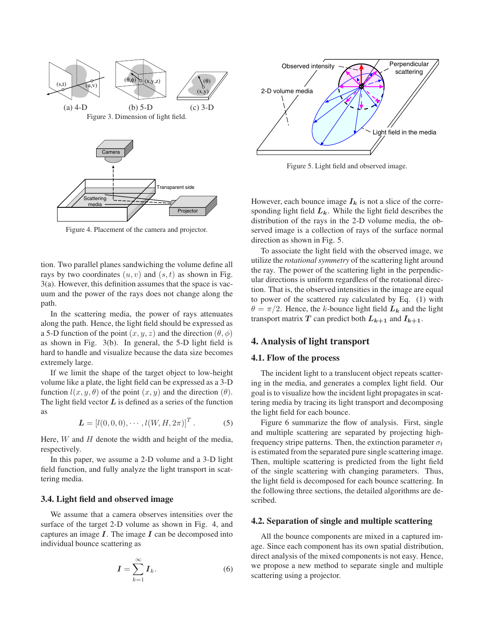

Figure 4. Placement of the camera and projector.

tion. Two parallel planes sandwiching the volume define all rays by two coordinates  $(u, v)$  and  $(s, t)$  as shown in Fig. 3(a). However, this definition assumes that the space is vacuum and the power of the rays does not change along the path.

In the scattering media, the power of rays attenuates along the path. Hence, the light field should be expressed as a 5-D function of the point  $(x, y, z)$  and the direction  $(\theta, \phi)$ as shown in Fig. 3(b). In general, the 5-D light field is hard to handle and visualize because the data size becomes extremely large.

If we limit the shape of the target object to low-height volume like a plate, the light field can be expressed as a 3-D function  $l(x, y, \theta)$  of the point  $(x, y)$  and the direction  $(\theta)$ . The light field vector  $L$  is defined as a series of the function as

$$
\mathbf{L} = [l(0, 0, 0), \cdots, l(W, H, 2\pi)]^{T}.
$$
 (5)

Here,  $W$  and  $H$  denote the width and height of the media, respectively.

In this paper, we assume a 2-D volume and a 3-D light field function, and fully analyze the light transport in scattering media.

#### **3.4. Light field and observed image**

We assume that a camera observes intensities over the surface of the target 2-D volume as shown in Fig. 4, and captures an image  $I$ . The image  $I$  can be decomposed into individual bounce scattering as

$$
I = \sum_{k=1}^{\infty} I_k.
$$
 (6)



Figure 5. Light field and observed image.

However, each bounce image  $I_k$  is not a slice of the corresponding light field  $L_k$ . While the light field describes the distribution of the rays in the 2-D volume media, the observed image is a collection of rays of the surface normal direction as shown in Fig. 5.

To associate the light field with the observed image, we utilize the *rotational symmetry* of the scattering light around the ray. The power of the scattering light in the perpendicular directions is uniform regardless of the rotational direction. That is, the observed intensities in the image are equal to power of the scattered ray calculated by Eq. (1) with  $\theta = \pi/2$ . Hence, the k-bounce light field  $L_k$  and the light transport matrix *T* can predict both  $L_{k+1}$  and  $I_{k+1}$ .

## **4. Analysis of light transport**

#### **4.1. Flow of the process**

The incident light to a translucent object repeats scattering in the media, and generates a complex light field. Our goal is to visualize how the incident light propagates in scattering media by tracing its light transport and decomposing the light field for each bounce.

Figure 6 summarize the flow of analysis. First, single and multiple scattering are separated by projecting highfrequency stripe patterns. Then, the extinction parameter  $\sigma_t$ is estimated from the separated pure single scattering image. Then, multiple scattering is predicted from the light field of the single scattering with changing parameters. Thus, the light field is decomposed for each bounce scattering. In the following three sections, the detailed algorithms are described.

#### **4.2. Separation of single and multiple scattering**

All the bounce components are mixed in a captured image. Since each component has its own spatial distribution, direct analysis of the mixed components is not easy. Hence, we propose a new method to separate single and multiple scattering using a projector.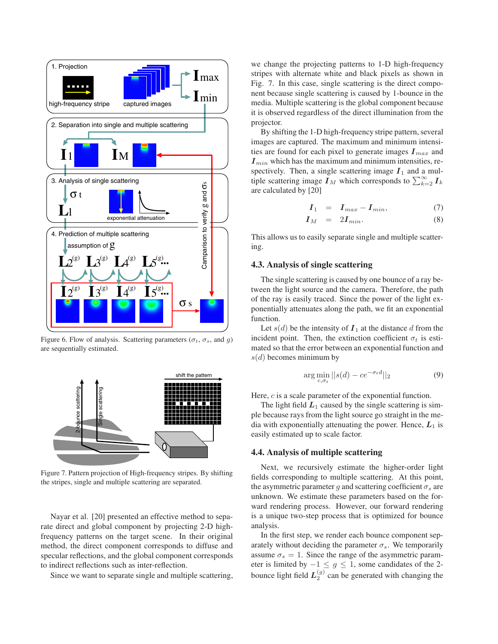

Figure 6. Flow of analysis. Scattering parameters ( $\sigma_t$ ,  $\sigma_s$ , and g) are sequentially estimated.



Figure 7. Pattern projection of High-frequency stripes. By shifting the stripes, single and multiple scattering are separated.

Nayar et al. [20] presented an effective method to separate direct and global component by projecting 2-D highfrequency patterns on the target scene. In their original method, the direct component corresponds to diffuse and specular reflections, and the global component corresponds to indirect reflections such as inter-reflection.

Since we want to separate single and multiple scattering,

we change the projecting patterns to 1-D high-frequency stripes with alternate white and black pixels as shown in Fig. 7. In this case, single scattering is the direct component because single scattering is caused by 1-bounce in the media. Multiple scattering is the global component because it is observed regardless of the direct illumination from the projector.

By shifting the 1-D high-frequency stripe pattern, several images are captured. The maximum and minimum intensities are found for each pixel to generate images  $I_{max}$  and  $I_{min}$  which has the maximum and minimum intensities, respectively. Then, a single scattering image  $I_1$  and a multiple scattering image  $I_M$  which corresponds to  $\sum_{k=2}^{\infty} I_k$ are calculated by [20]

$$
I_1 = I_{max} - I_{min}, \t\t(7)
$$

$$
I_M = 2I_{min}. \t\t(8)
$$

This allows us to easily separate single and multiple scattering.

## **4.3. Analysis of single scattering**

The single scattering is caused by one bounce of a ray between the light source and the camera. Therefore, the path of the ray is easily traced. Since the power of the light exponentially attenuates along the path, we fit an exponential function.

Let  $s(d)$  be the intensity of  $I_1$  at the distance d from the incident point. Then, the extinction coefficient  $\sigma_t$  is estimated so that the error between an exponential function and  $s(d)$  becomes minimum by

$$
\arg\min_{c,\sigma_t} ||s(d) - ce^{-\sigma_t d}||_2 \tag{9}
$$

Here, c is a scale parameter of the exponential function.

The light field  $L_1$  caused by the single scattering is simple because rays from the light source go straight in the media with exponentially attenuating the power. Hence,  $L_1$  is easily estimated up to scale factor.

#### **4.4. Analysis of multiple scattering**

Next, we recursively estimate the higher-order light fields corresponding to multiple scattering. At this point, the asymmetric parameter g and scattering coefficient  $\sigma_s$  are unknown. We estimate these parameters based on the forward rendering process. However, our forward rendering is a unique two-step process that is optimized for bounce analysis.

In the first step, we render each bounce component separately without deciding the parameter  $\sigma_s$ . We temporarily assume  $\sigma_s = 1$ . Since the range of the asymmetric parameter is limited by  $-1 \leq g \leq 1$ , some candidates of the 2bounce light field  $L_2^{(g)}$  can be generated with changing the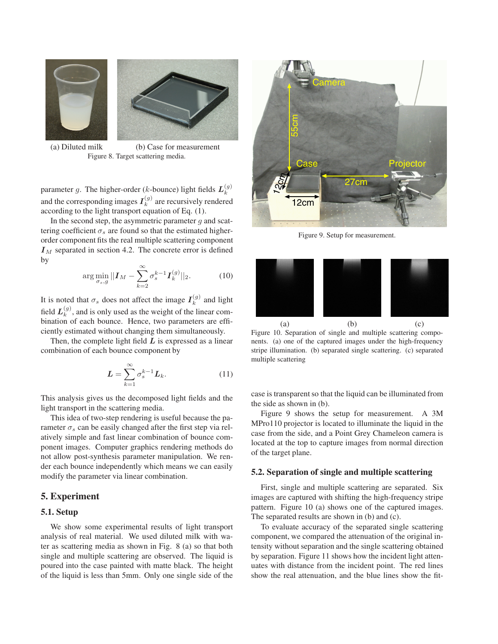



(a) Diluted milk (b) Case for measurement Figure 8. Target scattering media.

parameter g. The higher-order (*k*-bounce) light fields  $L_k^{(g)}$ and the corresponding images  $I_k^{(g)}$  are recursively rendered according to the light transport equation of Eq. (1).

In the second step, the asymmetric parameter  $q$  and scattering coefficient  $\sigma_s$  are found so that the estimated higherorder component fits the real multiple scattering component  $I_M$  separated in section 4.2. The concrete error is defined by

$$
\arg\min_{\sigma_s,g}||\mathbf{I}_M - \sum_{k=2}^{\infty} \sigma_s^{k-1} \mathbf{I}_k^{(g)}||_2.
$$
 (10)

It is noted that  $\sigma_s$  does not affect the image  $I_k^{(g)}$  and light field  $L_k^{(g)}$ , and is only used as the weight of the linear combination of each bounce. Hence, two parameters are efficiently estimated without changing them simultaneously.

Then, the complete light field *L* is expressed as a linear combination of each bounce component by

$$
L = \sum_{k=1}^{\infty} \sigma_s^{k-1} L_k.
$$
 (11)

This analysis gives us the decomposed light fields and the light transport in the scattering media.

This idea of two-step rendering is useful because the parameter  $\sigma_s$  can be easily changed after the first step via relatively simple and fast linear combination of bounce component images. Computer graphics rendering methods do not allow post-synthesis parameter manipulation. We render each bounce independently which means we can easily modify the parameter via linear combination.

# **5. Experiment**

## **5.1. Setup**

We show some experimental results of light transport analysis of real material. We used diluted milk with water as scattering media as shown in Fig. 8 (a) so that both single and multiple scattering are observed. The liquid is poured into the case painted with matte black. The height of the liquid is less than 5mm. Only one single side of the



Figure 9. Setup for measurement.



Figure 10. Separation of single and multiple scattering components. (a) one of the captured images under the high-frequency stripe illumination. (b) separated single scattering. (c) separated multiple scattering

case is transparent so that the liquid can be illuminated from the side as shown in (b).

Figure 9 shows the setup for measurement. A 3M MPro110 projector is located to illuminate the liquid in the case from the side, and a Point Grey Chameleon camera is located at the top to capture images from normal direction of the target plane.

#### **5.2. Separation of single and multiple scattering**

First, single and multiple scattering are separated. Six images are captured with shifting the high-frequency stripe pattern. Figure 10 (a) shows one of the captured images. The separated results are shown in (b) and (c).

To evaluate accuracy of the separated single scattering component, we compared the attenuation of the original intensity without separation and the single scattering obtained by separation. Figure 11 shows how the incident light attenuates with distance from the incident point. The red lines show the real attenuation, and the blue lines show the fit-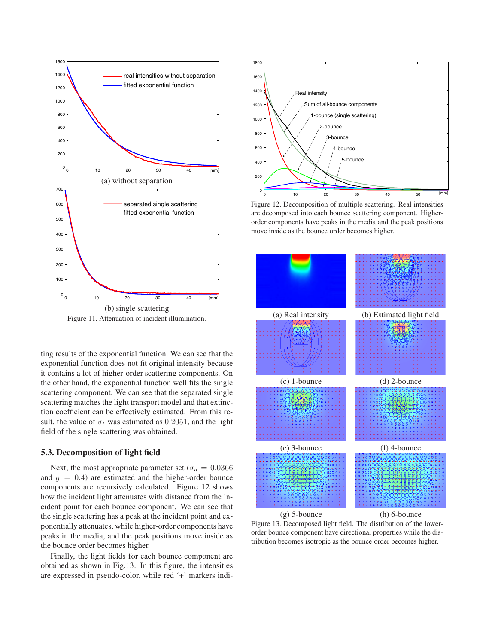

Figure 11. Attenuation of incident illumination.

ting results of the exponential function. We can see that the exponential function does not fit original intensity because it contains a lot of higher-order scattering components. On the other hand, the exponential function well fits the single scattering component. We can see that the separated single scattering matches the light transport model and that extinction coefficient can be effectively estimated. From this result, the value of  $\sigma_t$  was estimated as 0.2051, and the light field of the single scattering was obtained.

#### **5.3. Decomposition of light field**

Next, the most appropriate parameter set ( $\sigma_a = 0.0366$ ) and  $q = 0.4$ ) are estimated and the higher-order bounce components are recursively calculated. Figure 12 shows how the incident light attenuates with distance from the incident point for each bounce component. We can see that the single scattering has a peak at the incident point and exponentially attenuates, while higher-order components have peaks in the media, and the peak positions move inside as the bounce order becomes higher.

Finally, the light fields for each bounce component are obtained as shown in Fig.13. In this figure, the intensities are expressed in pseudo-color, while red '+' markers indi-



Figure 12. Decomposition of multiple scattering. Real intensities are decomposed into each bounce scattering component. Higherorder components have peaks in the media and the peak positions move inside as the bounce order becomes higher.



Figure 13. Decomposed light field. The distribution of the lowerorder bounce component have directional properties while the distribution becomes isotropic as the bounce order becomes higher.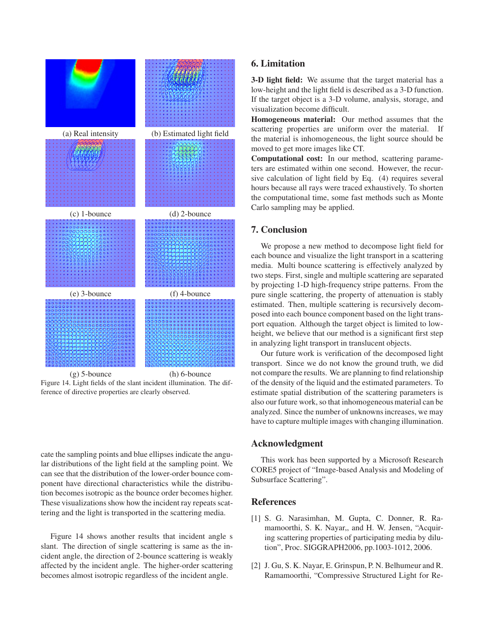

Figure 14. Light fields of the slant incident illumination. The difference of directive properties are clearly observed.

cate the sampling points and blue ellipses indicate the angular distributions of the light field at the sampling point. We can see that the distribution of the lower-order bounce component have directional characteristics while the distribution becomes isotropic as the bounce order becomes higher. These visualizations show how the incident ray repeats scattering and the light is transported in the scattering media.

Figure 14 shows another results that incident angle s slant. The direction of single scattering is same as the incident angle, the direction of 2-bounce scattering is weakly affected by the incident angle. The higher-order scattering becomes almost isotropic regardless of the incident angle.

# **6. Limitation**

**3-D light field:** We assume that the target material has a low-height and the light field is described as a 3-D function. If the target object is a 3-D volume, analysis, storage, and visualization become difficult.

**Homogeneous material:** Our method assumes that the scattering properties are uniform over the material. If the material is inhomogeneous, the light source should be moved to get more images like CT.

**Computational cost:** In our method, scattering parameters are estimated within one second. However, the recursive calculation of light field by Eq. (4) requires several hours because all rays were traced exhaustively. To shorten the computational time, some fast methods such as Monte Carlo sampling may be applied.

# **7. Conclusion**

We propose a new method to decompose light field for each bounce and visualize the light transport in a scattering media. Multi bounce scattering is effectively analyzed by two steps. First, single and multiple scattering are separated by projecting 1-D high-frequency stripe patterns. From the pure single scattering, the property of attenuation is stably estimated. Then, multiple scattering is recursively decomposed into each bounce component based on the light transport equation. Although the target object is limited to lowheight, we believe that our method is a significant first step in analyzing light transport in translucent objects.

Our future work is verification of the decomposed light transport. Since we do not know the ground truth, we did not compare the results. We are planning to find relationship of the density of the liquid and the estimated parameters. To estimate spatial distribution of the scattering parameters is also our future work, so that inhomogeneous material can be analyzed. Since the number of unknowns increases, we may have to capture multiple images with changing illumination.

# **Acknowledgment**

This work has been supported by a Microsoft Research CORE5 project of "Image-based Analysis and Modeling of Subsurface Scattering".

## **References**

- [1] S. G. Narasimhan, M. Gupta, C. Donner, R. Ramamoorthi, S. K. Nayar,, and H. W. Jensen, "Acquiring scattering properties of participating media by dilution", Proc. SIGGRAPH2006, pp.1003-1012, 2006.
- [2] J. Gu, S. K. Nayar, E. Grinspun, P. N. Belhumeur and R. Ramamoorthi, "Compressive Structured Light for Re-